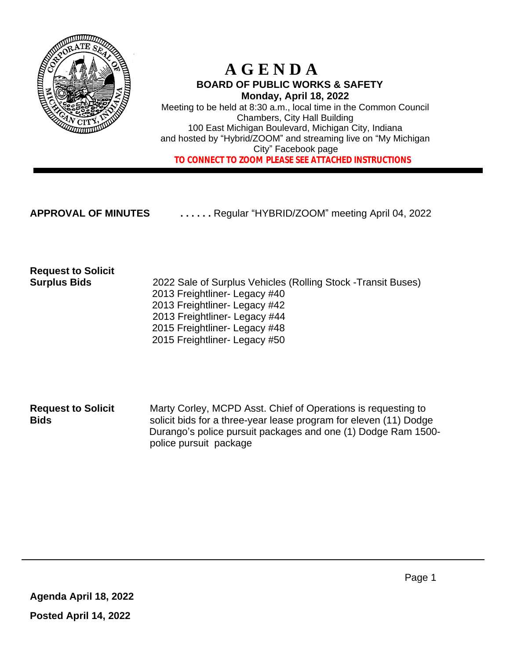

### **A G E N D A BOARD OF PUBLIC WORKS & SAFETY Monday, April 18, 2022**

Meeting to be held at 8:30 a.m., local time in the Common Council Chambers, City Hall Building 100 East Michigan Boulevard, Michigan City, Indiana and hosted by "Hybrid/ZOOM" and streaming live on "My Michigan City" Facebook page  **TO CONNECT TO ZOOM PLEASE SEE ATTACHED INSTRUCTIONS**

**APPROVAL OF MINUTES . . . . . .** Regular "HYBRID/ZOOM" meeting April 04, 2022

# **Request to Solicit**

**Surplus Bids** 2022 Sale of Surplus Vehicles (Rolling Stock -Transit Buses) 2013 Freightliner- Legacy #40 2013 Freightliner- Legacy #42 2013 Freightliner- Legacy #44 2015 Freightliner- Legacy #48 2015 Freightliner- Legacy #50

**Request to Solicit** Marty Corley, MCPD Asst. Chief of Operations is requesting to **Bids** solicit bids for a three-year lease program for eleven (11) Dodge Durango's police pursuit packages and one (1) Dodge Ram 1500 police pursuit package

**Agenda April 18, 2022 Posted April 14, 2022**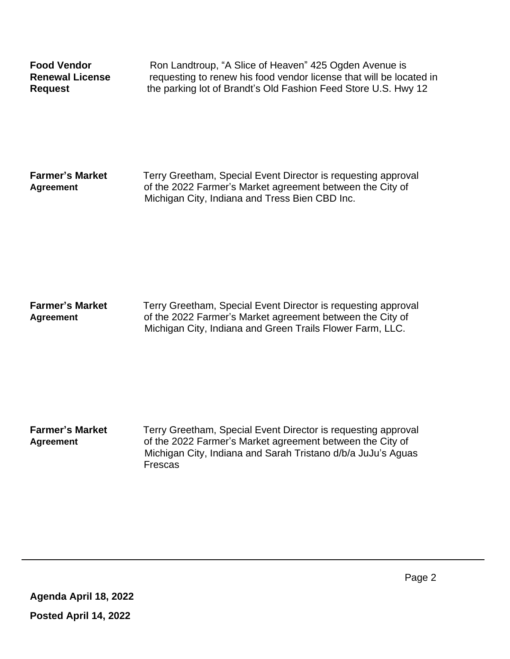**Food Vendor Ron Landtroup, "A Slice of Heaven" 425 Ogden Avenue is Renewal License** requesting to renew his food vendor license that will be located in **Request Request the parking lot of Brandt's Old Fashion Feed Store U.S. Hwy 12** 

**Farmer's Market Terry Greetham, Special Event Director is requesting approval Agreement** of the 2022 Farmer's Market agreement between the City of Michigan City, Indiana and Tress Bien CBD Inc.

**Farmer's Market Terry Greetham, Special Event Director is requesting approval Agreement** of the 2022 Farmer's Market agreement between the City of Michigan City, Indiana and Green Trails Flower Farm, LLC.

**Farmer's Market Terry Greetham, Special Event Director is requesting approval Agreement** of the 2022 Farmer's Market agreement between the City of Michigan City, Indiana and Sarah Tristano d/b/a JuJu's Aguas Frescas

**Agenda April 18, 2022 Posted April 14, 2022**

Page 2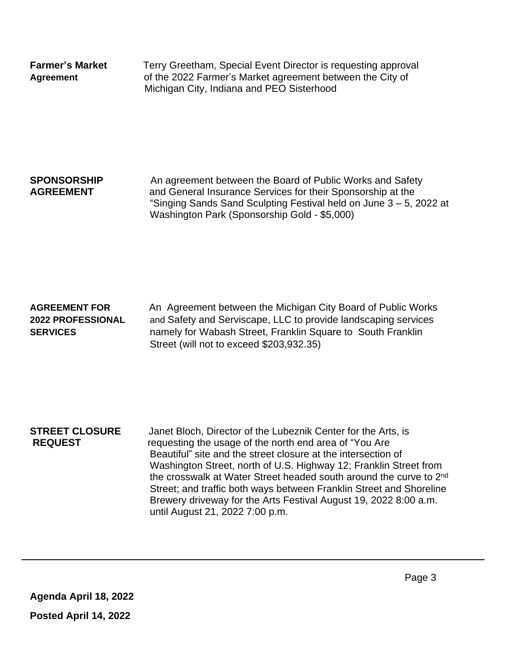**Farmer's Market Terry Greetham, Special Event Director is requesting approval Agreement** of the 2022 Farmer's Market agreement between the City of Michigan City, Indiana and PEO Sisterhood

**SPONSORSHIP** An agreement between the Board of Public Works and Safety **AGREEMENT** and General Insurance Services for their Sponsorship at the "Singing Sands Sand Sculpting Festival held on June 3 – 5, 2022 at Washington Park (Sponsorship Gold - \$5,000)

### **AGREEMENT FOR** An Agreement between the Michigan City Board of Public Works **2022 PROFESSIONAL** and Safety and Serviscape, LLC to provide landscaping services **SERVICES** namely for Wabash Street, Franklin Square to South Franklin Street (will not to exceed \$203,932.35)

**STREET CLOSURE** Janet Bloch, Director of the Lubeznik Center for the Arts, is **REQUEST** requesting the usage of the north end area of "You Are Beautiful" site and the street closure at the intersection of Washington Street, north of U.S. Highway 12; Franklin Street from the crosswalk at Water Street headed south around the curve to 2<sup>nd</sup> Street; and traffic both ways between Franklin Street and Shoreline Brewery driveway for the Arts Festival August 19, 2022 8:00 a.m. until August 21, 2022 7:00 p.m.

**Agenda April 18, 2022 Posted April 14, 2022**

Page 3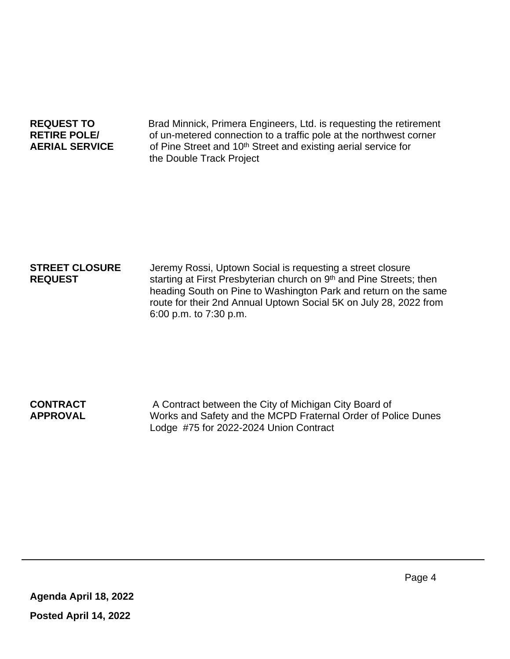**REQUEST TO** Brad Minnick, Primera Engineers, Ltd. is requesting the retirement **RETIRE POLE/** of un-metered connection to a traffic pole at the northwest corner **AERIAL SERVICE** of Pine Street and 10th Street and existing aerial service for the Double Track Project

**STREET CLOSURE** Jeremy Rossi, Uptown Social is requesting a street closure **REQUEST** starting at First Presbyterian church on 9<sup>th</sup> and Pine Streets; then heading South on Pine to Washington Park and return on the same route for their 2nd Annual Uptown Social 5K on July 28, 2022 from 6:00 p.m. to 7:30 p.m.

**CONTRACT** A Contract between the City of Michigan City Board of **APPROVAL** Works and Safety and the MCPD Fraternal Order of Police Dunes Lodge #75 for 2022-2024 Union Contract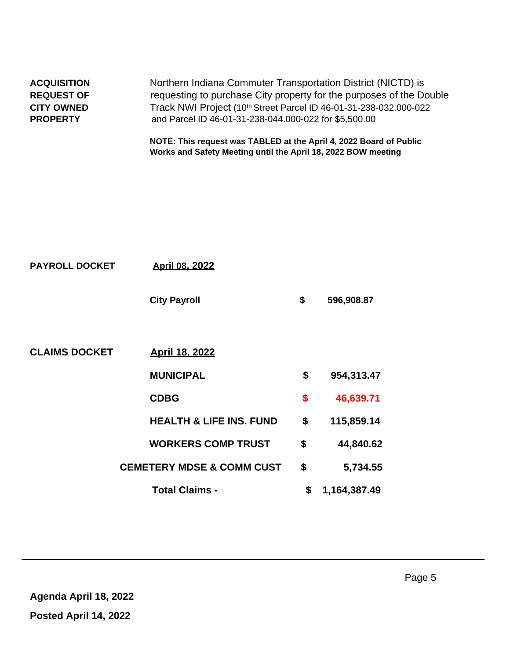|                                         | NOTE: This request was TABLED at the April 4, 2022 Board of Public<br>Works and Safety Meeting until the April 18, 2022 BOW meeting |  |  |  |
|-----------------------------------------|-------------------------------------------------------------------------------------------------------------------------------------|--|--|--|
| <b>PROPERTY</b>                         | and Parcel ID 46-01-31-238-044.000-022 for \$5,500.00                                                                               |  |  |  |
| <b>CITY OWNED</b>                       | Track NWI Project (10th Street Parcel ID 46-01-31-238-032.000-022                                                                   |  |  |  |
| <b>ACQUISITION</b><br><b>REQUEST OF</b> | Northern Indiana Commuter Transportation District (NICTD) is<br>requesting to purchase City property for the purposes of the Double |  |  |  |
|                                         |                                                                                                                                     |  |  |  |

| <b>PAYROLL DOCKET</b> | <b>April 08, 2022</b>                |                    |
|-----------------------|--------------------------------------|--------------------|
|                       | <b>City Payroll</b>                  | \$<br>596,908.87   |
| <b>CLAIMS DOCKET</b>  | <b>April 18, 2022</b>                |                    |
|                       | <b>MUNICIPAL</b>                     | \$<br>954,313.47   |
|                       | <b>CDBG</b>                          | \$<br>46,639.71    |
|                       | <b>HEALTH &amp; LIFE INS. FUND</b>   | \$<br>115,859.14   |
|                       | <b>WORKERS COMP TRUST</b>            | \$<br>44,840.62    |
|                       | <b>CEMETERY MDSE &amp; COMM CUST</b> | \$<br>5,734.55     |
|                       | <b>Total Claims -</b>                | \$<br>1,164,387.49 |
|                       |                                      |                    |

 $\hat{\boldsymbol{\theta}}$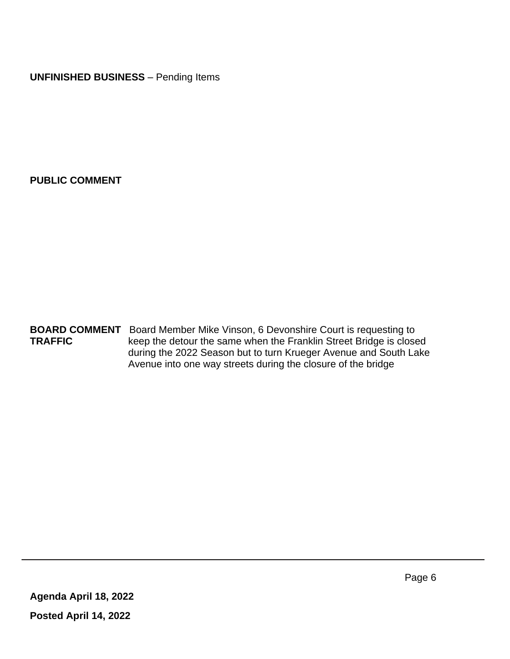**UNFINISHED BUSINESS** – Pending Items

**PUBLIC COMMENT**

**BOARD COMMENT** Board Member Mike Vinson, 6 Devonshire Court is requesting to<br>**TRAFFIC** keep the detour the same when the Franklin Street Bridge is close keep the detour the same when the Franklin Street Bridge is closed during the 2022 Season but to turn Krueger Avenue and South Lake Avenue into one way streets during the closure of the bridge